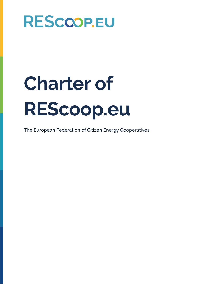# **Charter of REScoop.eu**

The European Federation of Citizen Energy Cooperatives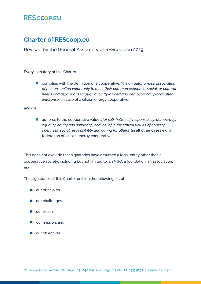### **Charter of REScoop.eu**

Revised by the General Assembly of REScoop.eu 2019

Every signatory of this Charter

■ complies with the definition of a cooperative: *'it is an autonomous association of persons united voluntarily to meet their common economic, social, or cultural needs and aspirations through a jointly-owned and democratically-controlled enterprise*; (in case of a citizen energy cooperative)

and/or:

■ adheres to the cooperative values: 'of self-help, self-responsibility, democracy, *equality, equity and solidarity', and 'belief in the ethical values of honesty, openness, social responsibility and caring for others'* (in all other cases e.g. a federation of citizen energy cooperatives)

This does not exclude that signatories have assumed a legal entity other than a cooperative society, including but not limited to: an NGO, a foundation, an association, etc.

The signatories of this Charter unite in the following set of

- our principles,
- our challenges,
- our vision,
- our mission, and
- our objectives.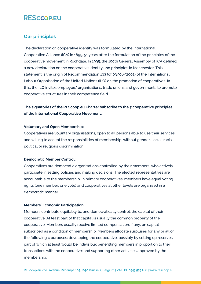#### **Our principles**

The declaration on cooperative identity was formulated by the International Cooperative Alliance (ICA) in 1895, 51 years after the formulation of the principles of the cooperative movement in Rochdale. In 1995, the 100th General Assembly of ICA defined a new declaration on the cooperative identity and principles in Manchester. This statement is the origin of Recommendation 193 (of 03/06/2002) of the International Labour Organisation of the United Nations (ILO) on the promotion of cooperatives. In this, the ILO invites employers' organisations, trade unions and governments to promote cooperative structures in their competence field.

#### **The signatories of the REScoop.eu Charter subscribe to the 7 cooperative principles of the International Cooperative Movement:**

#### **Voluntary and Open Membership:**

Cooperatives are voluntary organisations, open to all persons able to use their services and willing to accept the responsibilities of membership, without gender, social, racial, political or religious discrimination.

#### **Democratic Member Control:**

Cooperatives are democratic organisations controlled by their members, who actively participate in setting policies and making decisions. The elected representatives are accountable to the membership. In primary cooperatives, members have equal voting rights (one member, one vote) and cooperatives at other levels are organised in a democratic manner.

#### **Members' Economic Participation:**

Members contribute equitably to, and democratically control, the capital of their cooperative. At least part of that capital is usually the common property of the cooperative. Members usually receive limited compensation, if any, on capital subscribed as a condition of membership. Members allocate surpluses for any or all of the following 4 purposes: developing the cooperative, possibly by setting up reserves, part of which at least would be indivisible; benefitting members in proportion to their transactions with the cooperative; and supporting other activities approved by the membership.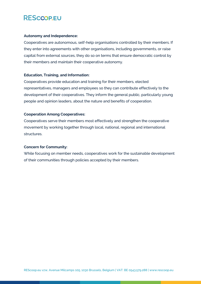#### **Autonomy and Independence:**

Cooperatives are autonomous, self-help organisations controlled by their members. If they enter into agreements with other organisations, including governments, or raise capital from external sources, they do so on terms that ensure democratic control by their members and maintain their cooperative autonomy.

#### **Education, Training, and Information:**

Cooperatives provide education and training for their members, elected representatives, managers and employees so they can contribute effectively to the development of their cooperatives. They inform the general public, particularly young people and opinion leaders, about the nature and benefits of cooperation.

#### **Cooperation Among Cooperatives:**

Cooperatives serve their members most effectively and strengthen the cooperative movement by working together through local, national, regional and international structures.

#### **Concern for Community:**

While focusing on member needs, cooperatives work for the sustainable development of their communities through policies accepted by their members.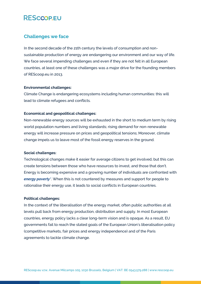#### **Challenges we face**

In the second decade of the 21th century the levels of consumption and nonsustainable production of energy are endangering our environment and our way of life. We face several impending challenges and even if they are not felt in all European countries, at least one of these challenges was a major drive for the founding members of REScoop.eu in 2013.

#### **Environmental challenges:**

Climate Change is endangering ecosystems including human communities: this will lead to climate refugees and conflicts.

#### **Economical and geopolitical challenges:**

Non-renewable energy sources will be exhausted in the short to medium term by rising world population numbers and living standards; rising demand for non-renewable energy will increase pressure on prices and geopolitical tensions; Moreover, climate change impels us to leave most of the fossil energy reserves in the ground.

#### **Social challenges:**

Technological changes make it easier for average citizens to get involved, but this can create tensions between those who have resources to invest, and those that don't. Energy is becoming expensive and a growing number of individuals are confronted with *energy poverty\**. When this is not countered by measures and support for people to rationalise their energy use, it leads to social conflicts in European countries.

#### **Political challenges:**

In the context of the liberalisation of the energy market, often public authorities at all levels pull back from energy production, distribution and supply. In most European countries, energy policy lacks a clear long-term vision and is opaque. As a result, EU governments fail to reach the stated goals of the European Union's liberalisation policy (competitive markets, fair prices and energy independence) and of the Paris agreements to tackle climate change.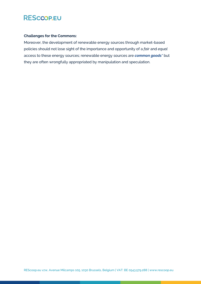

#### **Challenges for the Commons:**

Moreover, the development of renewable energy sources through market-based policies should not lose sight of the importance and opportunity of a *fair* and *equal*  access to these energy sources; renewable energy sources are *common goods\** but they are often wrongfully appropriated by manipulation and speculation.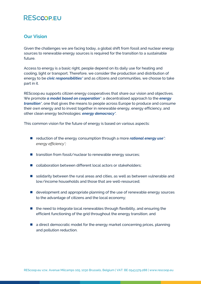#### **Our Vision**

Given the challenges we are facing today, a global shift from fossil and nuclear energy sources to renewable energy sources is required for the transition to a sustainable future.

Access to energy is a basic right, people depend on its daily use for heating and cooling, light or transport. Therefore, we consider the production and distribution of energy to be *civic responsibilities\** and as citizens and communities, we choose to take part in it.

REScoop.eu supports citizen energy cooperatives that share our vision and objectives. We promote *a model based on cooperation\**: a decentralised approach to the *energy transition\**, one that gives the means to people across Europe to produce and consume their own energy and to invest together in renewable energy, energy efficiency, and other clean energy technologies: *energy democracy\*.* 

This common vision for the future of energy is based on various aspects:

- reduction of the energy consumption through a more *rational energy use<sup>\*</sup> energy efficiency\*;*
- transition from fossil/nuclear to renewable energy sources;
- collaboration between different local actors or stakeholders;
- solidarity between the rural areas and cities, as well as between vulnerable and low/income households and those that are well-resourced;
- development and appropriate planning of the use of renewable energy sources to the advantage of citizens and the local economy;
- $\blacksquare$  the need to integrate local renewables through flexibility, and ensuring the efficient functioning of the grid throughout the energy transition; and
- a direct democratic model for the energy market concerning prices, planning and pollution reduction.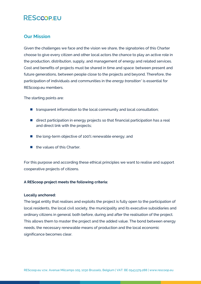#### **Our Mission**

Given the challenges we face and the vision we share, the signatories of this Charter choose to give every citizen and other local actors the chance to play an active role in the production, distribution, supply, and management of energy and related services. Cost and benefits of projects must be shared in time and space: between present and future generations, between people close to the projects and beyond. Therefore, the participation of individuals and communities in the *energy transition\** is essential for REScoop.eu members.

The starting points are:

- transparent information to the local community and local consultation;
- direct participation in energy projects so that financial participation has a real and direct link with the projects;
- the long-term objective of 100% renewable energy; and
- the values of this Charter.

For this purpose and according these ethical principles we want to realise and support cooperative projects of citizens.

#### **A REScoop project meets the following criteria:**

#### **Locally anchored:**

The legal entity that realises and exploits the project is fully open to the participation of local residents, the local civil society, the municipality and its executive subsidiaries and ordinary citizens in general: both before, during and after the realisation of the project. This allows them to master the project and the added value. The bond between energy needs, the necessary renewable means of production and the local economic significance becomes clear.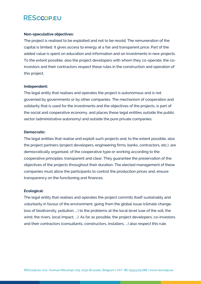#### **Non-speculative objectives:**

The project is realised to be exploited and not to be resold. The remuneration of the capital is limited. It gives access to energy at a fair and transparent price. Part of the added value is spent on education and information and on investments in new projects. To the extent possible, also the project developers with whom they co-operate, the coinvestors and their contractors respect these rules in the construction and operation of this project.

#### **Independent:**

The legal entity that realises and operates the project is autonomous and is not governed by governments or by other companies. The mechanism of cooperation and solidarity that is used for the investments and the objectives of the projects, is part of the social and cooperative economy, and places these legal entities outside the public sector (administrative autonomy) and outside the pure private companies.

#### **Democratic:**

The legal entities that realise and exploit such projects and, to the extent possible, also the project partners (project developers, engineering firms, banks, contractors, etc.), are democratically organised, of the cooperative type or working according to the cooperative principles, transparent and clear. They guarantee the preservation of the objectives of the projects throughout their duration. The elected management of these companies must allow the participants to control the production prices and, ensure transparency on the functioning and finances.

#### **Ecological:**

The legal entity that realises and operates the project commits itself sustainably and voluntarily in favour of the environment, going from the global issue (climate change, loss of biodiversity, pollution, ...) to the problems at the local level (use of the soil, the wind, the rivers, local impact, ...). As far as possible, the project developers, co-investors and their contractors (consultants, constructors, installers, ...) also respect this rule.